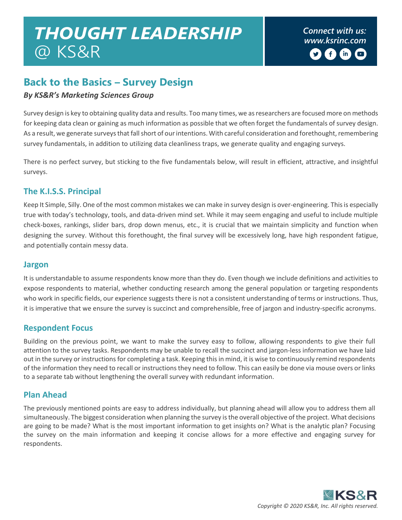# *Connect with us: THOUGHT LEADERSHIP [www.ksrinc.com](http://www.ksrinc.com/)* @ KS&R

## **Back to the Basics – Survey Design**

#### *By KS&R's Marketing Sciences Group*

Survey design is key to obtaining quality data and results. Too many times, we as researchers are focused more on methods for keeping data clean or gaining as much information as possible that we often forget the fundamentals of survey design. As a result, we generate surveys that fall short of our intentions. With careful consideration and forethought, remembering survey fundamentals, in addition to utilizing data cleanliness traps, we generate quality and engaging surveys.

There is no perfect survey, but sticking to the five fundamentals below, will result in efficient, attractive, and insightful surveys.

### **The K.I.S.S. Principal**

Keep It Simple, Silly. One of the most common mistakes we can make in survey design is over-engineering. This is especially true with today's technology, tools, and data-driven mind set. While it may seem engaging and useful to include multiple check-boxes, rankings, slider bars, drop down menus, etc., it is crucial that we maintain simplicity and function when designing the survey. Without this forethought, the final survey will be excessively long, have high respondent fatigue, and potentially contain messy data.

#### **Jargon**

It is understandable to assume respondents know more than they do. Even though we include definitions and activities to expose respondents to material, whether conducting research among the general population or targeting respondents who work in specific fields, our experience suggests there is not a consistent understanding of terms or instructions. Thus, it is imperative that we ensure the survey is succinct and comprehensible, free of jargon and industry-specific acronyms.

#### **Respondent Focus**

Building on the previous point, we want to make the survey easy to follow, allowing respondents to give their full attention to the survey tasks. Respondents may be unable to recall the succinct and jargon-less information we have laid out in the survey or instructions for completing a task. Keeping this in mind, it is wise to continuously remind respondents of the information they need to recall or instructions they need to follow. This can easily be done via mouse overs or links to a separate tab without lengthening the overall survey with redundant information.

#### **Plan Ahead**

The previously mentioned points are easy to address individually, but planning ahead will allow you to address them all simultaneously. The biggest consideration when planning the survey is the overall objective of the project. What decisions are going to be made? What is the most important information to get insights on? What is the analytic plan? Focusing the survey on the main information and keeping it concise allows for a more effective and engaging survey for respondents.